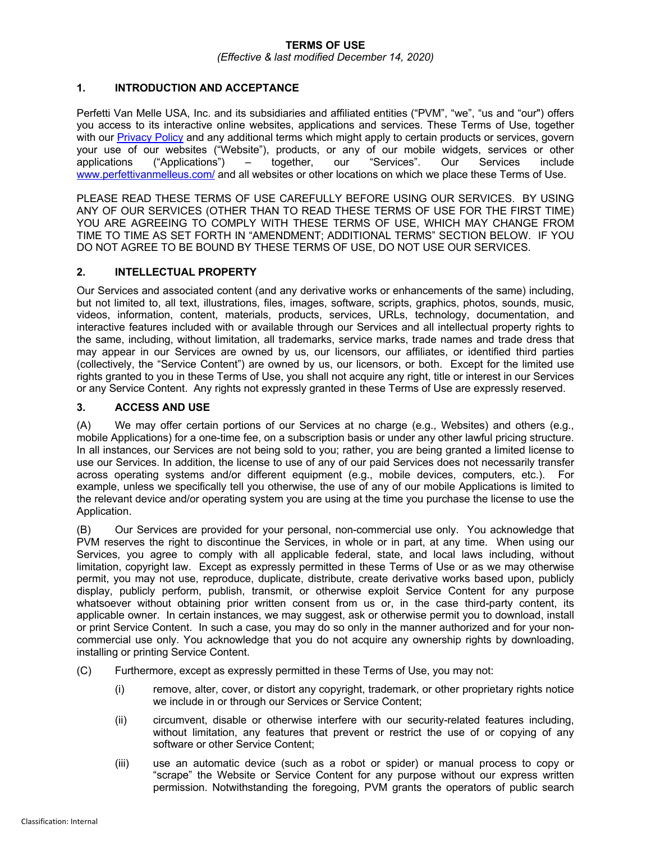#### **TERMS OF USE**

*(Effective & last modified December 14, 2020)*

## **1. INTRODUCTION AND ACCEPTANCE**

Perfetti Van Melle USA, Inc. and its subsidiaries and affiliated entities ("PVM", "we", "us and "our") offers you access to its interactive online websites, applications and services. These Terms of Use, together with our Privacy Policy and any additional terms which might apply to certain products or services, govern your use of our websites ("Website"), products, or any of our mobile widgets, services or other applications ("Applications") – together, our "Services". Our Services include www.perfettivanmelleus.com/ and all websites or other locations on which we place these Terms of Use.

PLEASE READ THESE TERMS OF USE CAREFULLY BEFORE USING OUR SERVICES. BY USING ANY OF OUR SERVICES (OTHER THAN TO READ THESE TERMS OF USE FOR THE FIRST TIME) YOU ARE AGREEING TO COMPLY WITH THESE TERMS OF USE, WHICH MAY CHANGE FROM TIME TO TIME AS SET FORTH IN "AMENDMENT; ADDITIONAL TERMS" SECTION BELOW. IF YOU DO NOT AGREE TO BE BOUND BY THESE TERMS OF USE, DO NOT USE OUR SERVICES.

#### **2. INTELLECTUAL PROPERTY**

Our Services and associated content (and any derivative works or enhancements of the same) including, but not limited to, all text, illustrations, files, images, software, scripts, graphics, photos, sounds, music, videos, information, content, materials, products, services, URLs, technology, documentation, and interactive features included with or available through our Services and all intellectual property rights to the same, including, without limitation, all trademarks, service marks, trade names and trade dress that may appear in our Services are owned by us, our licensors, our affiliates, or identified third parties (collectively, the "Service Content") are owned by us, our licensors, or both. Except for the limited use rights granted to you in these Terms of Use, you shall not acquire any right, title or interest in our Services or any Service Content. Any rights not expressly granted in these Terms of Use are expressly reserved.

#### **3. ACCESS AND USE**

(A) We may offer certain portions of our Services at no charge (e.g., Websites) and others (e.g., mobile Applications) for a one-time fee, on a subscription basis or under any other lawful pricing structure. In all instances, our Services are not being sold to you; rather, you are being granted a limited license to use our Services. In addition, the license to use of any of our paid Services does not necessarily transfer across operating systems and/or different equipment (e.g., mobile devices, computers, etc.). For example, unless we specifically tell you otherwise, the use of any of our mobile Applications is limited to the relevant device and/or operating system you are using at the time you purchase the license to use the Application.

(B) Our Services are provided for your personal, non-commercial use only. You acknowledge that PVM reserves the right to discontinue the Services, in whole or in part, at any time. When using our Services, you agree to comply with all applicable federal, state, and local laws including, without limitation, copyright law. Except as expressly permitted in these Terms of Use or as we may otherwise permit, you may not use, reproduce, duplicate, distribute, create derivative works based upon, publicly display, publicly perform, publish, transmit, or otherwise exploit Service Content for any purpose whatsoever without obtaining prior written consent from us or, in the case third-party content, its applicable owner. In certain instances, we may suggest, ask or otherwise permit you to download, install or print Service Content. In such a case, you may do so only in the manner authorized and for your noncommercial use only. You acknowledge that you do not acquire any ownership rights by downloading, installing or printing Service Content.

- (C) Furthermore, except as expressly permitted in these Terms of Use, you may not:
	- (i) remove, alter, cover, or distort any copyright, trademark, or other proprietary rights notice we include in or through our Services or Service Content;
	- (ii) circumvent, disable or otherwise interfere with our security-related features including, without limitation, any features that prevent or restrict the use of or copying of any software or other Service Content;
	- (iii) use an automatic device (such as a robot or spider) or manual process to copy or "scrape" the Website or Service Content for any purpose without our express written permission. Notwithstanding the foregoing, PVM grants the operators of public search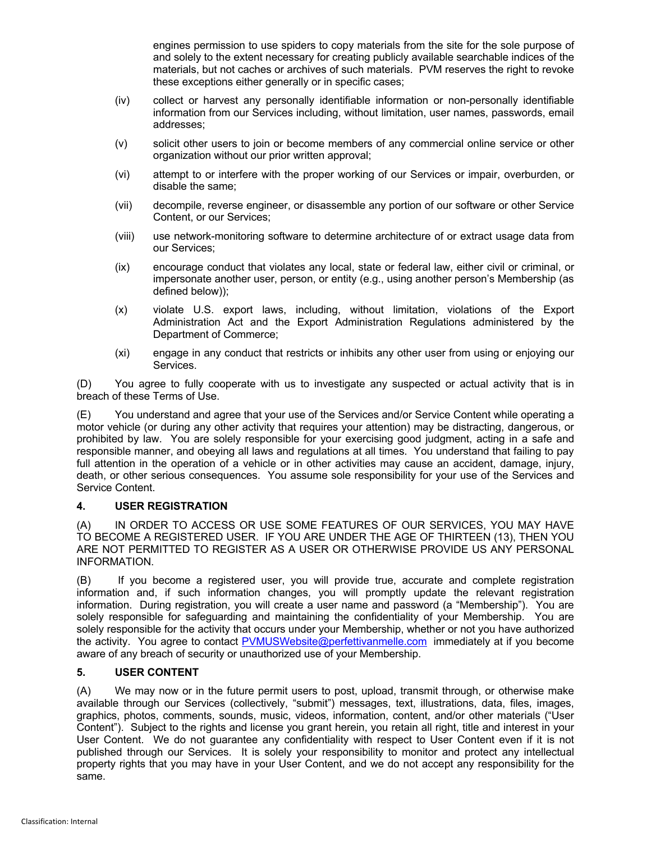engines permission to use spiders to copy materials from the site for the sole purpose of and solely to the extent necessary for creating publicly available searchable indices of the materials, but not caches or archives of such materials. PVM reserves the right to revoke these exceptions either generally or in specific cases;

- (iv) collect or harvest any personally identifiable information or non-personally identifiable information from our Services including, without limitation, user names, passwords, email addresses;
- (v) solicit other users to join or become members of any commercial online service or other organization without our prior written approval;
- (vi) attempt to or interfere with the proper working of our Services or impair, overburden, or disable the same;
- (vii) decompile, reverse engineer, or disassemble any portion of our software or other Service Content, or our Services;
- (viii) use network-monitoring software to determine architecture of or extract usage data from our Services;
- (ix) encourage conduct that violates any local, state or federal law, either civil or criminal, or impersonate another user, person, or entity (e.g., using another person's Membership (as defined below));
- (x) violate U.S. export laws, including, without limitation, violations of the Export Administration Act and the Export Administration Regulations administered by the Department of Commerce;
- (xi) engage in any conduct that restricts or inhibits any other user from using or enjoying our Services.

(D) You agree to fully cooperate with us to investigate any suspected or actual activity that is in breach of these Terms of Use.

(E) You understand and agree that your use of the Services and/or Service Content while operating a motor vehicle (or during any other activity that requires your attention) may be distracting, dangerous, or prohibited by law. You are solely responsible for your exercising good judgment, acting in a safe and responsible manner, and obeying all laws and regulations at all times. You understand that failing to pay full attention in the operation of a vehicle or in other activities may cause an accident, damage, injury, death, or other serious consequences. You assume sole responsibility for your use of the Services and Service Content.

## **4. USER REGISTRATION**

(A) IN ORDER TO ACCESS OR USE SOME FEATURES OF OUR SERVICES, YOU MAY HAVE TO BECOME A REGISTERED USER. IF YOU ARE UNDER THE AGE OF THIRTEEN (13), THEN YOU ARE NOT PERMITTED TO REGISTER AS A USER OR OTHERWISE PROVIDE US ANY PERSONAL INFORMATION.

(B) If you become a registered user, you will provide true, accurate and complete registration information and, if such information changes, you will promptly update the relevant registration information. During registration, you will create a user name and password (a "Membership"). You are solely responsible for safeguarding and maintaining the confidentiality of your Membership. You are solely responsible for the activity that occurs under your Membership, whether or not you have authorized the activity. You agree to contact PVMUSWebsite@perfettivanmelle.com immediately at if you become aware of any breach of security or unauthorized use of your Membership.

## **5. USER CONTENT**

(A) We may now or in the future permit users to post, upload, transmit through, or otherwise make available through our Services (collectively, "submit") messages, text, illustrations, data, files, images, graphics, photos, comments, sounds, music, videos, information, content, and/or other materials ("User Content"). Subject to the rights and license you grant herein, you retain all right, title and interest in your User Content. We do not guarantee any confidentiality with respect to User Content even if it is not published through our Services. It is solely your responsibility to monitor and protect any intellectual property rights that you may have in your User Content, and we do not accept any responsibility for the same.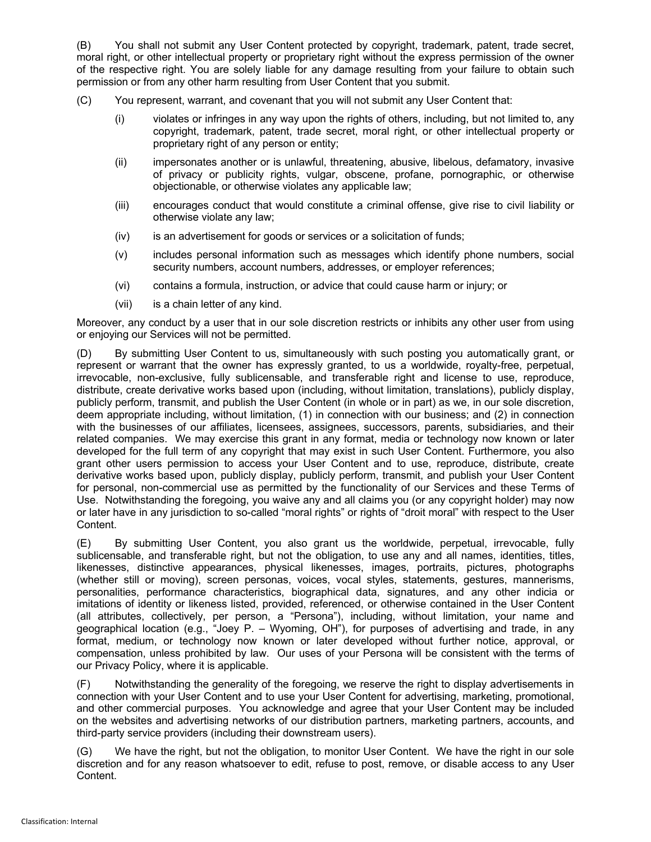(B) You shall not submit any User Content protected by copyright, trademark, patent, trade secret, moral right, or other intellectual property or proprietary right without the express permission of the owner of the respective right. You are solely liable for any damage resulting from your failure to obtain such permission or from any other harm resulting from User Content that you submit.

- (C) You represent, warrant, and covenant that you will not submit any User Content that:
	- (i) violates or infringes in any way upon the rights of others, including, but not limited to, any copyright, trademark, patent, trade secret, moral right, or other intellectual property or proprietary right of any person or entity;
	- (ii) impersonates another or is unlawful, threatening, abusive, libelous, defamatory, invasive of privacy or publicity rights, vulgar, obscene, profane, pornographic, or otherwise objectionable, or otherwise violates any applicable law;
	- (iii) encourages conduct that would constitute a criminal offense, give rise to civil liability or otherwise violate any law;
	- (iv) is an advertisement for goods or services or a solicitation of funds;
	- (v) includes personal information such as messages which identify phone numbers, social security numbers, account numbers, addresses, or employer references;
	- (vi) contains a formula, instruction, or advice that could cause harm or injury; or
	- (vii) is a chain letter of any kind.

Moreover, any conduct by a user that in our sole discretion restricts or inhibits any other user from using or enjoying our Services will not be permitted.

(D) By submitting User Content to us, simultaneously with such posting you automatically grant, or represent or warrant that the owner has expressly granted, to us a worldwide, royalty-free, perpetual, irrevocable, non-exclusive, fully sublicensable, and transferable right and license to use, reproduce, distribute, create derivative works based upon (including, without limitation, translations), publicly display, publicly perform, transmit, and publish the User Content (in whole or in part) as we, in our sole discretion, deem appropriate including, without limitation, (1) in connection with our business; and (2) in connection with the businesses of our affiliates, licensees, assignees, successors, parents, subsidiaries, and their related companies. We may exercise this grant in any format, media or technology now known or later developed for the full term of any copyright that may exist in such User Content. Furthermore, you also grant other users permission to access your User Content and to use, reproduce, distribute, create derivative works based upon, publicly display, publicly perform, transmit, and publish your User Content for personal, non-commercial use as permitted by the functionality of our Services and these Terms of Use. Notwithstanding the foregoing, you waive any and all claims you (or any copyright holder) may now or later have in any jurisdiction to so-called "moral rights" or rights of "droit moral" with respect to the User Content.

(E) By submitting User Content, you also grant us the worldwide, perpetual, irrevocable, fully sublicensable, and transferable right, but not the obligation, to use any and all names, identities, titles, likenesses, distinctive appearances, physical likenesses, images, portraits, pictures, photographs (whether still or moving), screen personas, voices, vocal styles, statements, gestures, mannerisms, personalities, performance characteristics, biographical data, signatures, and any other indicia or imitations of identity or likeness listed, provided, referenced, or otherwise contained in the User Content (all attributes, collectively, per person, a "Persona"), including, without limitation, your name and geographical location (e.g., "Joey P. – Wyoming, OH"), for purposes of advertising and trade, in any format, medium, or technology now known or later developed without further notice, approval, or compensation, unless prohibited by law. Our uses of your Persona will be consistent with the terms of our Privacy Policy, where it is applicable.

(F) Notwithstanding the generality of the foregoing, we reserve the right to display advertisements in connection with your User Content and to use your User Content for advertising, marketing, promotional, and other commercial purposes. You acknowledge and agree that your User Content may be included on the websites and advertising networks of our distribution partners, marketing partners, accounts, and third-party service providers (including their downstream users).

(G) We have the right, but not the obligation, to monitor User Content. We have the right in our sole discretion and for any reason whatsoever to edit, refuse to post, remove, or disable access to any User Content.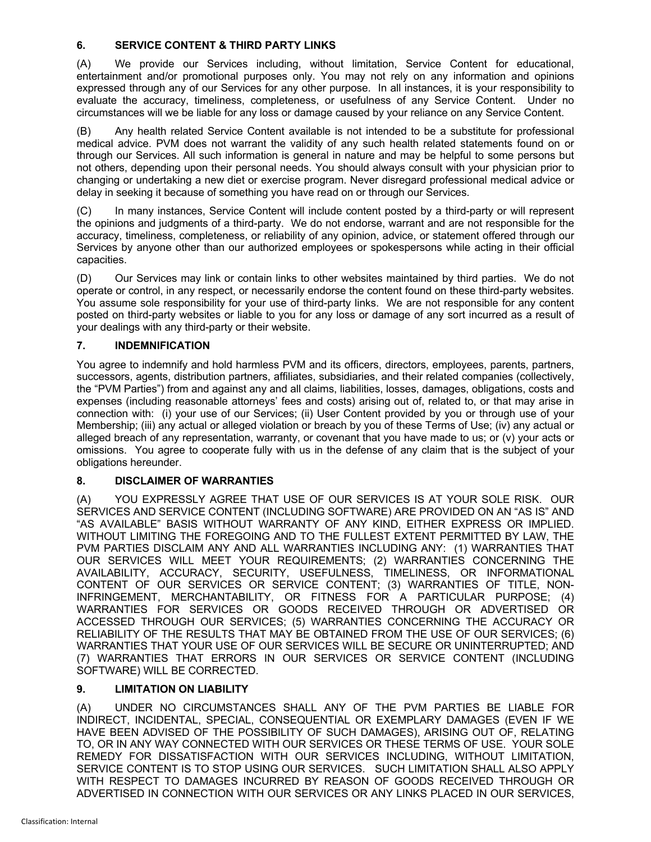# **6. SERVICE CONTENT & THIRD PARTY LINKS**

(A) We provide our Services including, without limitation, Service Content for educational, entertainment and/or promotional purposes only. You may not rely on any information and opinions expressed through any of our Services for any other purpose. In all instances, it is your responsibility to evaluate the accuracy, timeliness, completeness, or usefulness of any Service Content. Under no circumstances will we be liable for any loss or damage caused by your reliance on any Service Content.

(B) Any health related Service Content available is not intended to be a substitute for professional medical advice. PVM does not warrant the validity of any such health related statements found on or through our Services. All such information is general in nature and may be helpful to some persons but not others, depending upon their personal needs. You should always consult with your physician prior to changing or undertaking a new diet or exercise program. Never disregard professional medical advice or delay in seeking it because of something you have read on or through our Services.

(C) In many instances, Service Content will include content posted by a third-party or will represent the opinions and judgments of a third-party. We do not endorse, warrant and are not responsible for the accuracy, timeliness, completeness, or reliability of any opinion, advice, or statement offered through our Services by anyone other than our authorized employees or spokespersons while acting in their official capacities.

(D) Our Services may link or contain links to other websites maintained by third parties. We do not operate or control, in any respect, or necessarily endorse the content found on these third-party websites. You assume sole responsibility for your use of third-party links. We are not responsible for any content posted on third-party websites or liable to you for any loss or damage of any sort incurred as a result of your dealings with any third-party or their website.

# **7. INDEMNIFICATION**

You agree to indemnify and hold harmless PVM and its officers, directors, employees, parents, partners, successors, agents, distribution partners, affiliates, subsidiaries, and their related companies (collectively, the "PVM Parties") from and against any and all claims, liabilities, losses, damages, obligations, costs and expenses (including reasonable attorneys' fees and costs) arising out of, related to, or that may arise in connection with: (i) your use of our Services; (ii) User Content provided by you or through use of your Membership; (iii) any actual or alleged violation or breach by you of these Terms of Use; (iv) any actual or alleged breach of any representation, warranty, or covenant that you have made to us; or (v) your acts or omissions. You agree to cooperate fully with us in the defense of any claim that is the subject of your obligations hereunder.

## **8. DISCLAIMER OF WARRANTIES**

(A) YOU EXPRESSLY AGREE THAT USE OF OUR SERVICES IS AT YOUR SOLE RISK. OUR SERVICES AND SERVICE CONTENT (INCLUDING SOFTWARE) ARE PROVIDED ON AN "AS IS" AND "AS AVAILABLE" BASIS WITHOUT WARRANTY OF ANY KIND, EITHER EXPRESS OR IMPLIED. WITHOUT LIMITING THE FOREGOING AND TO THE FULLEST EXTENT PERMITTED BY LAW, THE PVM PARTIES DISCLAIM ANY AND ALL WARRANTIES INCLUDING ANY: (1) WARRANTIES THAT OUR SERVICES WILL MEET YOUR REQUIREMENTS; (2) WARRANTIES CONCERNING THE AVAILABILITY, ACCURACY, SECURITY, USEFULNESS, TIMELINESS, OR INFORMATIONAL CONTENT OF OUR SERVICES OR SERVICE CONTENT; (3) WARRANTIES OF TITLE, NON-INFRINGEMENT, MERCHANTABILITY, OR FITNESS FOR A PARTICULAR PURPOSE; (4) WARRANTIES FOR SERVICES OR GOODS RECEIVED THROUGH OR ADVERTISED OR ACCESSED THROUGH OUR SERVICES; (5) WARRANTIES CONCERNING THE ACCURACY OR RELIABILITY OF THE RESULTS THAT MAY BE OBTAINED FROM THE USE OF OUR SERVICES; (6) WARRANTIES THAT YOUR USE OF OUR SERVICES WILL BE SECURE OR UNINTERRUPTED; AND (7) WARRANTIES THAT ERRORS IN OUR SERVICES OR SERVICE CONTENT (INCLUDING SOFTWARE) WILL BE CORRECTED.

## **9. LIMITATION ON LIABILITY**

(A) UNDER NO CIRCUMSTANCES SHALL ANY OF THE PVM PARTIES BE LIABLE FOR INDIRECT, INCIDENTAL, SPECIAL, CONSEQUENTIAL OR EXEMPLARY DAMAGES (EVEN IF WE HAVE BEEN ADVISED OF THE POSSIBILITY OF SUCH DAMAGES), ARISING OUT OF, RELATING TO, OR IN ANY WAY CONNECTED WITH OUR SERVICES OR THESE TERMS OF USE. YOUR SOLE REMEDY FOR DISSATISFACTION WITH OUR SERVICES INCLUDING, WITHOUT LIMITATION, SERVICE CONTENT IS TO STOP USING OUR SERVICES. SUCH LIMITATION SHALL ALSO APPLY WITH RESPECT TO DAMAGES INCURRED BY REASON OF GOODS RECEIVED THROUGH OR ADVERTISED IN CONNECTION WITH OUR SERVICES OR ANY LINKS PLACED IN OUR SERVICES,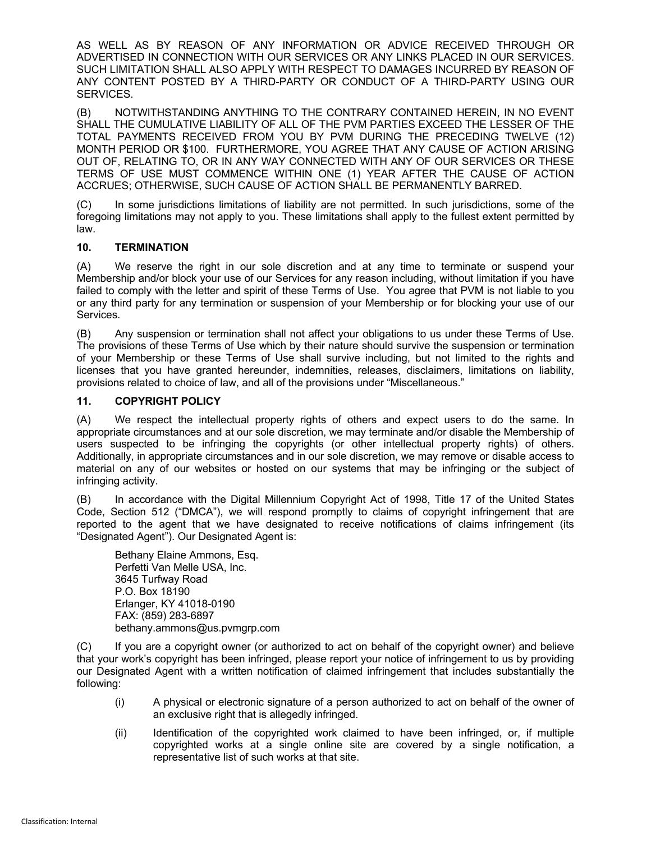AS WELL AS BY REASON OF ANY INFORMATION OR ADVICE RECEIVED THROUGH OR ADVERTISED IN CONNECTION WITH OUR SERVICES OR ANY LINKS PLACED IN OUR SERVICES. SUCH LIMITATION SHALL ALSO APPLY WITH RESPECT TO DAMAGES INCURRED BY REASON OF ANY CONTENT POSTED BY A THIRD-PARTY OR CONDUCT OF A THIRD-PARTY USING OUR SERVICES.

(B) NOTWITHSTANDING ANYTHING TO THE CONTRARY CONTAINED HEREIN, IN NO EVENT SHALL THE CUMULATIVE LIABILITY OF ALL OF THE PVM PARTIES EXCEED THE LESSER OF THE TOTAL PAYMENTS RECEIVED FROM YOU BY PVM DURING THE PRECEDING TWELVE (12) MONTH PERIOD OR \$100. FURTHERMORE, YOU AGREE THAT ANY CAUSE OF ACTION ARISING OUT OF, RELATING TO, OR IN ANY WAY CONNECTED WITH ANY OF OUR SERVICES OR THESE TERMS OF USE MUST COMMENCE WITHIN ONE (1) YEAR AFTER THE CAUSE OF ACTION ACCRUES; OTHERWISE, SUCH CAUSE OF ACTION SHALL BE PERMANENTLY BARRED.

(C) In some jurisdictions limitations of liability are not permitted. In such jurisdictions, some of the foregoing limitations may not apply to you. These limitations shall apply to the fullest extent permitted by law.

#### **10. TERMINATION**

(A) We reserve the right in our sole discretion and at any time to terminate or suspend your Membership and/or block your use of our Services for any reason including, without limitation if you have failed to comply with the letter and spirit of these Terms of Use. You agree that PVM is not liable to you or any third party for any termination or suspension of your Membership or for blocking your use of our Services.

(B) Any suspension or termination shall not affect your obligations to us under these Terms of Use. The provisions of these Terms of Use which by their nature should survive the suspension or termination of your Membership or these Terms of Use shall survive including, but not limited to the rights and licenses that you have granted hereunder, indemnities, releases, disclaimers, limitations on liability, provisions related to choice of law, and all of the provisions under "Miscellaneous."

## **11. COPYRIGHT POLICY**

(A) We respect the intellectual property rights of others and expect users to do the same. In appropriate circumstances and at our sole discretion, we may terminate and/or disable the Membership of users suspected to be infringing the copyrights (or other intellectual property rights) of others. Additionally, in appropriate circumstances and in our sole discretion, we may remove or disable access to material on any of our websites or hosted on our systems that may be infringing or the subject of infringing activity.

(B) In accordance with the Digital Millennium Copyright Act of 1998, Title 17 of the United States Code, Section 512 ("DMCA"), we will respond promptly to claims of copyright infringement that are reported to the agent that we have designated to receive notifications of claims infringement (its "Designated Agent"). Our Designated Agent is:

Bethany Elaine Ammons, Esq. Perfetti Van Melle USA, Inc. 3645 Turfway Road P.O. Box 18190 Erlanger, KY 41018-0190 FAX: (859) 283-6897 bethany.ammons@us.pvmgrp.com

(C) If you are a copyright owner (or authorized to act on behalf of the copyright owner) and believe that your work's copyright has been infringed, please report your notice of infringement to us by providing our Designated Agent with a written notification of claimed infringement that includes substantially the following:

- (i) A physical or electronic signature of a person authorized to act on behalf of the owner of an exclusive right that is allegedly infringed.
- (ii) Identification of the copyrighted work claimed to have been infringed, or, if multiple copyrighted works at a single online site are covered by a single notification, a representative list of such works at that site.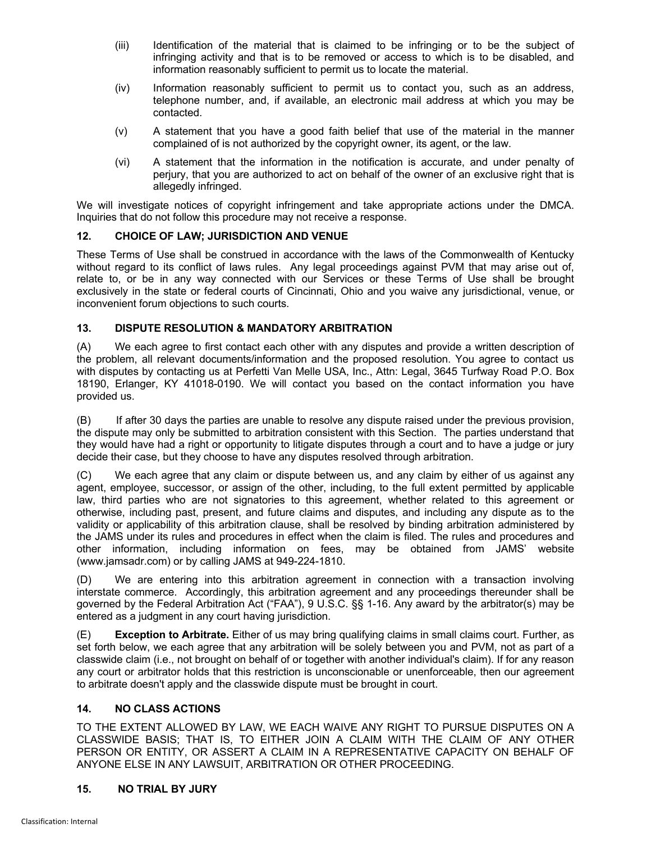- (iii) Identification of the material that is claimed to be infringing or to be the subject of infringing activity and that is to be removed or access to which is to be disabled, and information reasonably sufficient to permit us to locate the material.
- (iv) Information reasonably sufficient to permit us to contact you, such as an address, telephone number, and, if available, an electronic mail address at which you may be contacted.
- (v) A statement that you have a good faith belief that use of the material in the manner complained of is not authorized by the copyright owner, its agent, or the law.
- (vi) A statement that the information in the notification is accurate, and under penalty of perjury, that you are authorized to act on behalf of the owner of an exclusive right that is allegedly infringed.

We will investigate notices of copyright infringement and take appropriate actions under the DMCA. Inquiries that do not follow this procedure may not receive a response.

#### **12. CHOICE OF LAW; JURISDICTION AND VENUE**

These Terms of Use shall be construed in accordance with the laws of the Commonwealth of Kentucky without regard to its conflict of laws rules. Any legal proceedings against PVM that may arise out of, relate to, or be in any way connected with our Services or these Terms of Use shall be brought exclusively in the state or federal courts of Cincinnati, Ohio and you waive any jurisdictional, venue, or inconvenient forum objections to such courts.

#### **13. DISPUTE RESOLUTION & MANDATORY ARBITRATION**

(A) We each agree to first contact each other with any disputes and provide a written description of the problem, all relevant documents/information and the proposed resolution. You agree to contact us with disputes by contacting us at Perfetti Van Melle USA, Inc., Attn: Legal, 3645 Turfway Road P.O. Box 18190, Erlanger, KY 41018-0190. We will contact you based on the contact information you have provided us.

(B) If after 30 days the parties are unable to resolve any dispute raised under the previous provision, the dispute may only be submitted to arbitration consistent with this Section. The parties understand that they would have had a right or opportunity to litigate disputes through a court and to have a judge or jury decide their case, but they choose to have any disputes resolved through arbitration.

(C) We each agree that any claim or dispute between us, and any claim by either of us against any agent, employee, successor, or assign of the other, including, to the full extent permitted by applicable law, third parties who are not signatories to this agreement, whether related to this agreement or otherwise, including past, present, and future claims and disputes, and including any dispute as to the validity or applicability of this arbitration clause, shall be resolved by binding arbitration administered by the JAMS under its rules and procedures in effect when the claim is filed. The rules and procedures and other information, including information on fees, may be obtained from JAMS' website (www.jamsadr.com) or by calling JAMS at 949-224-1810.

(D) We are entering into this arbitration agreement in connection with a transaction involving interstate commerce. Accordingly, this arbitration agreement and any proceedings thereunder shall be governed by the Federal Arbitration Act ("FAA"), 9 U.S.C. §§ 1-16. Any award by the arbitrator(s) may be entered as a judgment in any court having jurisdiction.

(E) **Exception to Arbitrate.** Either of us may bring qualifying claims in small claims court. Further, as set forth below, we each agree that any arbitration will be solely between you and PVM, not as part of a classwide claim (i.e., not brought on behalf of or together with another individual's claim). If for any reason any court or arbitrator holds that this restriction is unconscionable or unenforceable, then our agreement to arbitrate doesn't apply and the classwide dispute must be brought in court.

## **14. NO CLASS ACTIONS**

TO THE EXTENT ALLOWED BY LAW, WE EACH WAIVE ANY RIGHT TO PURSUE DISPUTES ON A CLASSWIDE BASIS; THAT IS, TO EITHER JOIN A CLAIM WITH THE CLAIM OF ANY OTHER PERSON OR ENTITY, OR ASSERT A CLAIM IN A REPRESENTATIVE CAPACITY ON BEHALF OF ANYONE ELSE IN ANY LAWSUIT, ARBITRATION OR OTHER PROCEEDING.

## **15. NO TRIAL BY JURY**